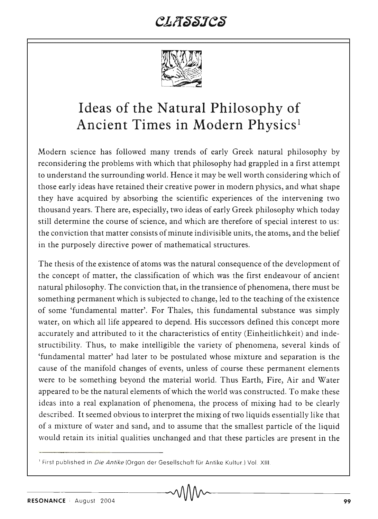

# **Ideas of the Natural Philosophy of Ancient Times in Modern Physics<sup>l</sup>**

Modern science has followed many trends of early Greek natural philosophy by reconsidering the problems with which that philosophy had grappled in a first attempt to understand the surrounding world. Hence it may be well worth considering which of those early ideas have retained their creative power in modern physics, and what shape they have acquired by absorbing the scientific experiences of the intervening two thousand years. There are, especially, two ideas of early Greek philosophy which today still determine the course of science, and which are therefore of special interest to us: the conviction that matter consists of minute indivisible units, the atoms, and the belief in the purposely directive power of mathematical structures.

The thesis of the existence of atoms was the natural consequence of the development of the concept of matter, the classification of which was the first endeavour of ancient natural philosophy. The conviction that, in the transience of phenomena, there must be something permanent which is subjected to change, led to the teaching of the existence of some 'fundamental matter'. For Thales, this fundamental substance was simply water, on which all life appeared to depend. His successors defined this concept more accurately and attributed to it the characteristics of entity (Einheitlichkeit) and indestructibility. Thus, to make intelligible the variety of phenomena, several kinds of 'fundamental matter' had later to be postulated whose mixture and separation is the cause of the manifold changes of events, unless of course these permanent elements were to be something beyond the material world. Thus Earth, Fire, Air and Water appeared to be the natural elements of which the world was constructed. To make these ideas into a real explanation of phenomena, the process of mixing had to be clearly described. It seemed obvious to interpret the mixing of two liquids essentially like that of a mixture of water and sand, and to assume that the smallest particle of the liquid would retain its initial qualities unchanged and that these particles are present in the

<sup>&</sup>lt;sup>1</sup> First published in *Die Antike* (Organ der Gesellschaft für Antike Kultur.) Vol. XIII.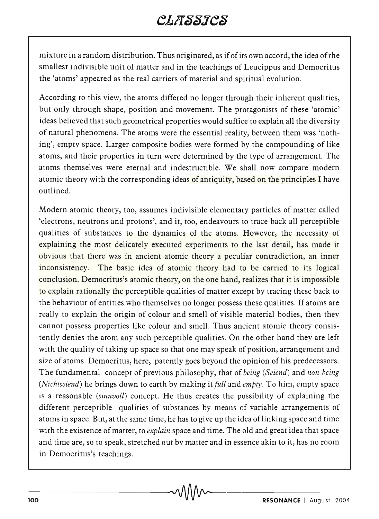mixture in a random distribution. Thus originated, as if of its own accord, the idea of the smallest indivisible unit of matter and in the teachings of Leucippus and Democritus the 'atoms' appeared as the real carriers of material and spiritual evolution.

According to this view, the atoms differed no longer through their inherent qualities, but only through shape, position and movement. The protagonists of these 'atomic' ideas believed that such geometrical properties would suffice to explain all the diversity of natural phenomena. The atoms were the essential reality, between them was 'nothing', empty space. Larger composite bodies were formed by the compounding of like atoms, and their properties in turn were determined by the type of arrangement. The atoms themselves were eternal and indestructible. We shall now compare modern atomic theory with the corresponding ideas of antiquity, based on the principles I have outlined.

Modern atomic theory, too, assumes indivisible elementary particles of matter called 'electrons, neutrons and protons', and it, too, endeavours to trace back all perceptible qualities of substances to the dynamics of the atoms. However, the necessity of explaining the most delicately executed experiments to the last detail, has made it obvious that there was in ancient atomic theory a peculiar contradiction, an inner inconsistency. The basic idea of atomic theory had to be carried to its logical conclusion. Democritus's atomic theory, on the one hand, realizes that it is impossible to explain rationally the perceptible qualities of matter except by tracing these back to the behaviour of entities who themselves no longer possess these qualities. If atoms are really to explain the origin of colour and smell of visible material bodies, then they cannot possess properties like colour and smell. Thus ancient atomic theory consistently denies the atom any such perceptible qualities. On the other hand they are left with the quality of taking up space so that one may speak of position, arrangement and size of atoms. Democritus, here, patently goes beyond the opinion of his predecessors. The fundamental concept of previous philosophy, that of *being (Seiend)* and *non-being (Nichtseiend)* he brings down to earth by making *itfull* and *empty.* To him, empty space is a reasonable *(sinnvoll)* concept. He thus creates the possibility of explaining the different perceptible qualities of substances by means of variable arrangements of atoms in space. But, at the same time, he has to give up the idea oflinking space and time with the existence of matter, to *explain* space and time. The old and great idea that space and time are, so to speak, stretched out by matter and in essence akin to it, has no room in Democritus's teachings.

1-0-0-------------------------------~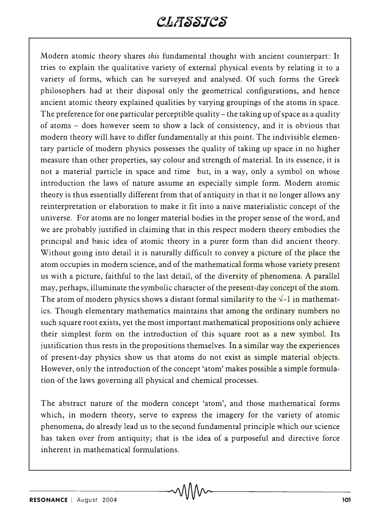Modern atomic theory shares *this* fundamental thought with ancient counterpart: It tries to explain the qualitative variety of external physical events by relating it to a variety of forms, which can be surveyed and analysed. Of such forms the Greek philosophers had at their disposal only the geometrical configurations, and hence ancient atomic theory explained qualities by varying groupings of the atoms in space. The preference for one particular perceptible quality  $-$  the taking up of space as a quality of atoms - does however seem to show a lack of consistency, and it is obvious that modern theory will have to differ fundamentally at this point. The indivisible elementary particle of modern physics possesses the quality of taking up space in no higher measure than other properties, say colour and strength of material. In its essence, it is not a material particle in space and time but, in a way, only a symbol on whose introduction the laws of nature assume an especially simple form. Modern atomic theory is thus essentially different from that of antiquity in that it no longer allows any reinterpretation or elaboration to make it fit into a naive materialistic concept of the universe. For atoms are no longer material bodies in the proper sense of the word, and we are probably justified in claiming that in this respect modern theory embodies the principal and basic idea of atomic theory in a purer form than did ancient theory. Without going into detail it is naturally difficult to convey a picture of the place the atom occupies in modern science, and of the mathematical forms whose variety present us with a picture, faithful to the last detail, of the diversity of phenomena. A parallel may, perhaps, illuminate the symbolic character of the present-day concept of the atom. The atom of modern physics shows a distant formal similarity to the  $\sqrt{-1}$  in mathematics. Though elementary mathematics maintains that among the ordinary numbers no such square root exists, yet the most important mathematical propositions only achieve their simplest form on the introduction of this square root as a new symbol. Its justification thus rests in the propositions themselves. In a similar way the experiences of present-day physics show us that atoms do not exist as simple material objects. However, only the introduction of the concept 'atom' makes possible a simple formulation of the laws governing all physical and chemical processes.

The abstract nature of the modern concept 'atom', and those mathematical forms which, in modern theory, serve to express the imagery for the variety of atomic phenomena, do already lead us to the second fundamental principle which our science has taken over from antiquity; that is the idea of a purposeful and directive force inherent in mathematical formulations.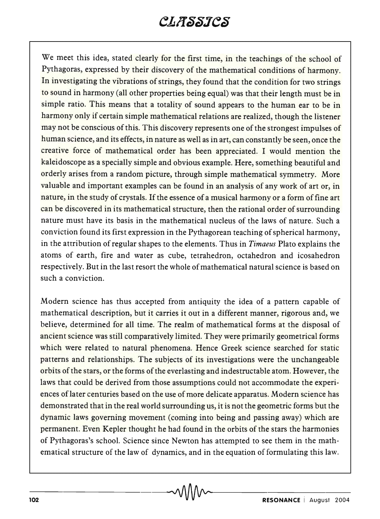We meet this idea, stated clearly for the first time, in the teachings of the school of Pythagoras, expressed by their discovery of the mathematical conditions of harmony. In investigating the vibrations of strings, they found that the condition for two strings to sound in harmony (all other properties being equal) was that their length must be in simple ratio. This means that a totality of sound appears to the human ear to be in harmony only if certain simple mathematical relations are realized, though the listener may not be conscious of this. This discovery represents one of the strongest impulses of human science, and its effects, in nature as well as in art, can constantly be seen, once the creative force of mathematical order has been appreciated. I would mention the kaleidoscope as a specially simple and obvious example. Here, something beautiful and orderly arises from a random picture, through simple mathematical symmetry. More valuable and important examples can be found in an analysis of any work of art or, in nature, in the study of crystals. If the essence of a musical harmony or a form of fine art can be discovered in its mathematical structure, then the rational order of surrounding nature must have its basis in the mathematical nucleus of the laws of nature. Such a conviction found its first expression in the Pythagorean teaching of spherical harmony, in the attribution of regular shapes to the elements. Thus in *Timaeus* Plato explains the atoms of earth, fire and water as cube, tetrahedron, octahedron and icosahedron respectively. But in the last resort the whole of mathematical natural science is based on such a conviction.

Modern science has thus accepted from antiquity the idea of a pattern capable of mathematical description, but it carries it out in a different manner, rigorous and, we believe, determined for all time. The realm of mathematical forms at the disposal of ancient science was still comparatively limited. They were primarily geometrical forms which were related to natural phenomena. Hence Greek science searched for static patterns and relationships. The subjects of its investigations were the unchangeable orbits of the stars, or the forms of the everlasting and indestructable atom. However, the laws that could be derived from those assumptions could not accommodate the experiences of later centuries based on the use of more delicate apparatus. Modern science has demonstrated that in the real world surrounding us, it is not the geometric forms but the dynamic laws governing movement (coming into being and passing away) which are permanent. Even Kepler thought he had found in the orbits of the stars the harmonies of Pythagoras's school. Science since Newton has attempted to see them in the mathematical structure of the law of dynamics, and in the equation of formulating this law.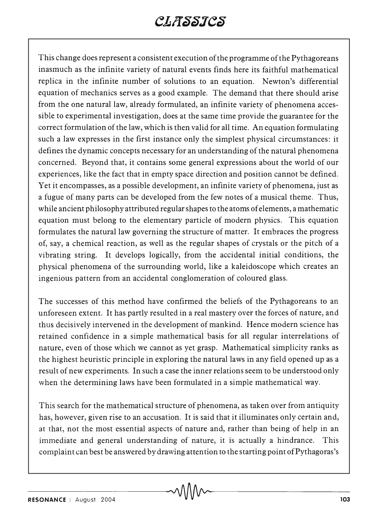This change does represent a consistent execution of the programme of the Pythagoreans inasmuch as the infinite variety of natural events finds here its faithful mathematical replica in the infinite number of solutions to an equation. Newton's differential equation of mechanics serves as a good example. The demand that there should arise from the one natural law, already formulated, an infinite variety of phenomena accessible to experimental investigation, does at the same time provide the guarantee for the correct formulation of the law, which is then valid for all time. An equation formulating such a law expresses in the first instance only the simplest physical circumstances: it defines the dynamic concepts necessary for an understanding of the natural phenomena concerned. Beyond that, it contains some general expressions about the world of our experiences, like the fact that in empty space direction and position cannot be defined. Yet it encompasses, as a possible development, an infinite variety of phenomena, just as a fugue of many parts can be developed from the few notes of a musical theme. Thus, while ancient philosophy attributed regular shapes to the atoms of elements, a mathematic equation must belong to the elementary particle of modern physics. This equation formulates the natural law governing the structure of matter. It embraces the progress of, say, a chemical reaction, as well as the regular shapes of crystals or the pitch of a vibrating string. It develops logically, from the accidental initial conditions, the physical phenomena of the surrounding world, like a kaleidoscope which creates an ingenious pattern from an accidental conglomeration of coloured glass.

The successes of this method have confirmed the beliefs of the Pythagoreans to an unforeseen extent. It has partly resulted in a real mastery over the forces of nature, and thus decisively intervened in the development of mankind. Hence modern science has retained confidence in a simple mathematical basis for all regular interrelations of nature, even of those which we cannot as yet grasp. Mathematical simplicity ranks as the highest heuristic principle in exploring the natural laws in any field opened up as a result of new experiments. In such a case the inner relations seem to be understood only when the determining laws have been formulated in a simple mathematical way.

This search for the mathematical structure of phenomena, as taken over from antiquity has, however, given rise to an accusation. It is said that it illuminates only certain and, at that, not the most essential aspects of nature and, rather than being of help in an immediate and general understanding of nature, it is actually a hindrance. This complaint can best be answered by drawing attention to the starting point of Pythagoras's